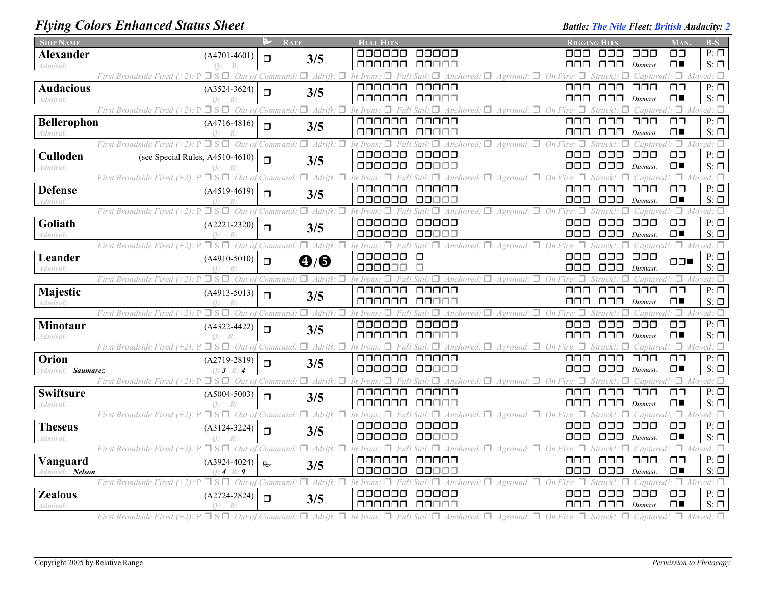## *Flying Colors Enhanced Status Sheet* **Battle:** *Battle: The Nile Fleet: British Audacity: 2 Battle: The Nile Fleet: British Audacity: 2*

| <b>SHIP NAME</b>            |                                                                   | ⊵∕        | <b>RATE</b>                                         | <b>HULL HITS</b>           |                                                                             | <b>RIGGING HITS</b>  |                                |                                  | MAN.                            | $B-S$                         |
|-----------------------------|-------------------------------------------------------------------|-----------|-----------------------------------------------------|----------------------------|-----------------------------------------------------------------------------|----------------------|--------------------------------|----------------------------------|---------------------------------|-------------------------------|
| Alexander                   | $(A4701-4601)$                                                    | $\Box$    | 3/5                                                 | ooooo                      | 00000                                                                       | OOO                  | 000                            | 000                              | OΟ                              | $P: \Box$                     |
| Admiral:                    |                                                                   |           |                                                     | ooooo                      | ooooo                                                                       | OOO                  | 000                            | Dismast.                         | $\Box$                          | $S: \Box$                     |
|                             | First Broadside Fired $(+2)$ : P<br>Out of<br>$\Box$ s            |           | $\Box$ Adrift:<br>Command:<br>п                     | In Iron.                   | Anchored: $\Box$<br>$A$ ground: $\Box$ On Fire.<br>Sail                     |                      |                                | Captured!                        | $\Box$                          | Moved: $\Box$                 |
| <b>Audacious</b>            | $(A3524-3624)$                                                    | $\Box$    | 3/5                                                 | 000000                     | 00000                                                                       | $\Box \Box \Box$     | $\Box$ $\Box$                  | $\Box$ $\Box$                    | $\Box$ $\Box$                   | $P: \Box$                     |
| Admiral:                    | $\bigcap$ :                                                       |           |                                                     | 000000                     | 88888                                                                       | 000                  | $\Box$ $\Box$                  | Dismast.                         | $\Box$                          | $S: \Box$                     |
|                             | $\Box$ S $\Box$<br>Out of<br>First Broadside Fired $(+2)$ :       |           | $\Box$ Adrift:<br>п<br>Command:                     | In Irons                   | Anchored: $\Box$<br>On Fire:<br>$A$ ground: $\Box$<br>Sail                  | п                    | Struck!                        | Captured!                        | $\Box$                          | $Moved: \Box$                 |
| Bellerophon                 | $(A4716-4816)$                                                    | $\Box$    | 3/5                                                 | 000000                     | 00000                                                                       | $\Box \Box \Box$     | $\Box\Box\Box$                 | $\Box$ $\Box$                    | $\Box$ Box                      | $P: \Box$                     |
| Admiral:                    | $\Omega$ :<br>R:                                                  |           |                                                     | 000000                     | 00000                                                                       | OOO                  | $\Box$ $\Box$                  | Dismast.                         | $\Box$                          | $S: \Box$                     |
|                             | Out of<br>First Broadside Fired 1                                 |           | $\Box$ Adrift:<br>'Command.                         | In Irons.                  | Anchored:<br>Aground:<br>On<br>Sail.                                        |                      |                                | Captured!:                       | 0.                              | Moved: $\square$<br>$P: \Box$ |
| <b>Culloden</b>             | (see Special Rules, A4510-4610)                                   | $\Box$    | 3/5                                                 | 000000<br>000000           | ooooo<br>00000                                                              | $\Box$ $\Box$<br>000 | $\Box$ $\Box$<br>$\Box$ $\Box$ | $\Box \Box \Box$<br>Dismast.     | $\Box$ $\Box$<br>$\Box$         | $S: \Box$                     |
| Admiral:                    | First Broadside Fired (+2): P<br>Out of                           |           | $\Box$ Adrift:<br>п<br>Command:                     | In Iron                    | $A$ ground: $\Box$ On Fire.                                                 |                      |                                | Captured!                        | $\Box$                          | Moved: $\square$              |
| <b>Defense</b>              |                                                                   |           |                                                     | 000000                     | Anchored: $\Box$<br>00000                                                   | $\Box$ $\Box$        | $\Box$ $\Box$                  | $\Box$ $\Box$                    | $\Box$ $\Box$                   | $P: \Box$                     |
| Admiral:                    | $(A4519-4619)$<br>$\bigcirc$ :                                    | $\Box$    | 3/5                                                 | 000000                     | 88888                                                                       | ooo                  | $\Box\Box\Box$                 | Dismast.                         | $\Box$                          | $S: \Box$                     |
|                             | $\Box$ s $\Box$<br>Out of<br>First Broadside Fired $(+2)$ :       |           | $\Box$ Adrift:<br>п<br>Command:                     | In Irons                   | $A$ ground: $\Box$ On<br>Anchored: $□$                                      |                      | Struck!                        | Captured!                        | $\Box$                          | $Moved: \Box$                 |
| Goliath                     | $(A2221-2320)$                                                    |           |                                                     | 000000                     | 00000                                                                       | 000                  | $\Box$ $\Box$                  | $\Box$ $\Box$ $\Box$             | $\Box$                          | $P: \Box$                     |
| Admiral:                    | $\bigcirc$ :                                                      | $\Box$    | 3/5                                                 | 000000                     | 00000                                                                       | 000                  | $\Box$ $\Box$                  | Dismast.                         | $\Box$                          | $S: \Box$                     |
|                             | Out of Command:<br>$\Box$ S $\Box$<br>First Broadside Fired       |           | $\Box$ Adrift:<br>п                                 | П.<br>Full<br>In Irons:    | Sail.<br>п<br>Anchored: $\Box$<br>Aground: $\Box$                           | On Fire:<br>п        | п                              | Captured!                        |                                 | $\Box$ Moved: $\Box$          |
| Leander                     | $(A4910-5010)$                                                    |           |                                                     | 000000                     | $\Box$                                                                      | $\Box$ $\Box$        | $\Box$ $\Box$                  | $\Box$ $\Box$ $\Box$             |                                 | $P: \Box$                     |
| Admiral:                    |                                                                   | $\Box$    | $\mathbf{O}/\mathbf{\Theta}$                        | 000000                     |                                                                             | OOO                  | $\Box \Box \Box$               | Dismast.                         | □□■                             | $S: \Box$                     |
|                             | п<br>Out of<br>First Broadside Fired (+2).<br>$\Box$ S            |           | $\Box$ Adrift.<br>П<br>Command.                     | In Irons<br>□              | π.<br>$\Box$ Anchored: $\Box$<br>Aground:<br>On<br>Sail                     |                      |                                | Captured!                        | $\Box$                          | $Moved: \Box$                 |
| Majestic                    | $(A4913-5013)$                                                    | $\Box$    | 3/5                                                 | 000000                     | 00000                                                                       | $\Box \Box \Box$     | $\Box$ $\Box$                  | $\Box$ $\Box$                    | $\Box$ $\Box$                   | $P: \Box$                     |
| Admiral:                    | $\bigcap$ :                                                       |           |                                                     | 000000                     | 00000                                                                       | 000                  | $\Box$ $\Box$                  | Dismast.                         | $\Box$                          | $S: \Box$                     |
|                             | $\Box$ S $\Box$<br>Out of<br>First Broadside Fired (+2):          |           | $\Box$ Adrift:<br>п<br>Command:                     | In Irons                   | Anchored: $\Box$ Aground: $\Box$ On                                         |                      | Struck!                        | Captured.                        | П.                              | Moved: $\square$              |
| Minotaur                    | $(A4322 - 4422)$                                                  | $\Box$    | 3/5                                                 | 000000                     | 00000                                                                       | OOO                  | $\Box \Box \Box$               | $\Box$ $\Box$ $\Box$             | $\Box$ $\Box$                   | $P: \Box$                     |
| Admiral:                    | $\Omega$ :                                                        |           |                                                     | 000000                     | 88888                                                                       | 000                  | $\Box$ $\Box$                  | Dismast.                         | $\Box$                          | $S: \Box$                     |
|                             | $\Box$ S $\Box$<br>Out of Command:<br>First Broadside Fired (+2). |           | $\Box$ Adrift:<br>п                                 | $\Box$<br>In Irons:<br>Ful | $\Box$<br>Anchored: $\Box$<br>$A$ ground: $\Box$ On Fire: $\Box$<br>Sail.   |                      | $\Box$                         | $Captured$ : $\Box$              |                                 | Moved: $\Box$                 |
| Orion                       | $(A2719-2819)$                                                    | $\Box$    | 3/5                                                 | 000000                     | 00000                                                                       | $\Box$ $\Box$        | $\Box$ $\Box$                  | $\Box \Box \Box$                 | $\Box$ $\Box$                   | $P: \Box$                     |
| Admiral: Saumarez           | 0:3<br>R:4                                                        |           |                                                     | 000000                     | 88888                                                                       | OOO                  | OOO                            | Dismast.                         | $\Box$                          | $S: \Box$                     |
|                             | $Out$ $oj$<br>First Broadside Fired (+2).                         |           | $\Box$ Adrift.<br>Command.                          |                            | Anchored: $\Box$<br>п<br>On<br>Aground:                                     |                      |                                | Captured!                        | $\Box$                          | Moved: $\Box$                 |
| <b>Swiftsure</b>            | $(A5004-5003)$                                                    | $\Box$    | 3/5                                                 | 000000                     | 00000                                                                       | 000                  | $\Box$ $\Box$<br>$\Box$ $\Box$ | 000                              | $\Box$ $\Box$<br>$\Box$         | $P: \Box$                     |
| Admiral:                    | $\bigcirc$ :                                                      |           |                                                     | 000000                     | 00000                                                                       | $\Box \Box \Box$     |                                | Dismast.                         | $\Box$                          | $S: \Box$                     |
|                             | First Broadside Fired (+2):<br>$\Box$ S<br>Out of                 |           | $\Box$ Adrift:<br>Command.                          |                            | $4nchored: \Box$<br>п.<br>On<br>Aground:                                    |                      | $\Box$ $\Box$                  | `aptured<br>$\Box$ $\Box$ $\Box$ |                                 | Moved: $\Box$<br>$P: \Box$    |
| <b>Theseus</b>              | $(A3124-3224)$                                                    | $\Box$    | 3/5                                                 | 000000<br>000000           | 00000<br>88888                                                              | 000<br>$\Box$ $\Box$ | OOO                            | Dismast.                         | $\Box$<br>$\Box$                | $S: \Box$                     |
| Admiral:                    | $\bigcap$<br>R<br>First Broadside Fired $(+2)$ :                  |           | $\Box$ S $\Box$ Out of Command: $\Box$ Adrift:<br>п | $\Box$<br>In Irons:        | $A$ ground: $\Box$ On Fire: $\Box$<br>$Full Sail: \Box$<br>Anchored: $\Box$ |                      | Struck<br>л                    |                                  | Captured!: $\Box$ Moved: $\Box$ |                               |
|                             |                                                                   |           |                                                     | 000000                     | 00000                                                                       | $\Box \Box \Box$     | $\Box$ $\Box$                  | $\Box$ $\Box$ $\Box$             | $\Box$ $\Box$                   | $P: \Box$                     |
| Vanguard<br>Admiral: Nelson | $(A3924-4024)$<br>0:4 R:9                                         | $\approx$ | 3/5                                                 | 000000                     | 00000                                                                       | 000                  | $\Box$ $\Box$                  | Dismast.                         | $\Box$                          | $S: \Box$                     |
|                             | Out<br>First Broadside Fired (+2).                                |           | п.<br>Adrift.<br>Command.                           |                            | On<br>Anchored:<br>Aground:                                                 |                      |                                | `aptured.                        | $\Box$                          | Moved: $\Box$                 |
| <b>Zealous</b>              | $(A2724-2824)$                                                    |           |                                                     | 000000                     | 00000                                                                       | 000                  | $\Box$ $\Box$                  | $\Box$ $\Box$                    | $\Box$ Box                      | $P: \Box$                     |
| Admiral:                    | $Q$ :<br>R:                                                       | $\Box$    | 3/5                                                 | 000000                     | 00000                                                                       | $\Box$ $\Box$        | $\Box\Box\Box$                 | Dismast.                         | $\Box$                          | $S: \Box$                     |
|                             |                                                                   |           |                                                     |                            |                                                                             |                      |                                |                                  |                                 |                               |

First Broadside Fired (+2):  $P \Box S \Box$  Out of Command:  $\Box$  Adrift:  $\Box$  In Irons:  $\Box$  Full Sail:  $\Box$  Anchored:  $\Box$  Aground:  $\Box$  On Fire:  $\Box$  Struck!:  $\Box$  Captured!:  $\Box$  Moved:  $\Box$